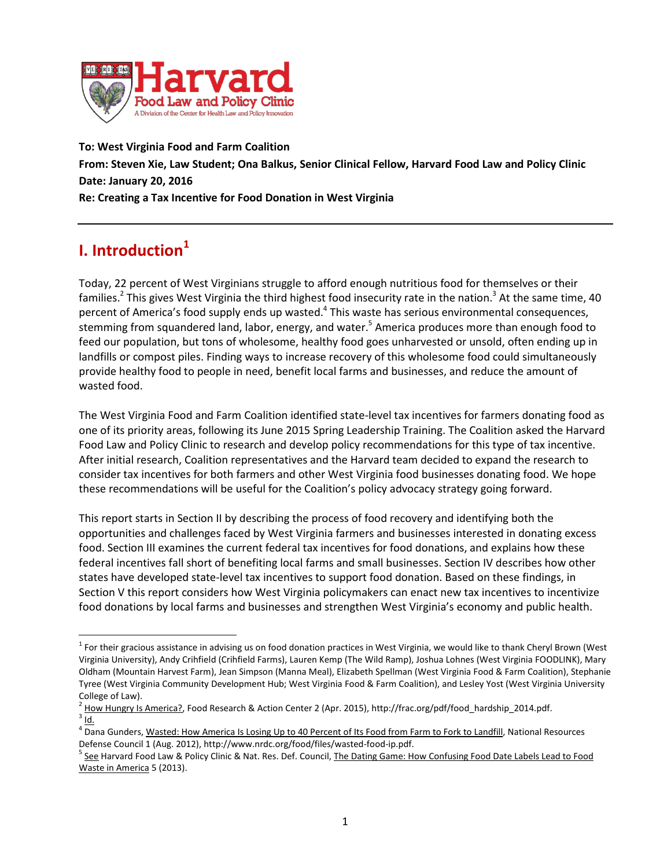

**To: West Virginia Food and Farm Coalition From: Steven Xie, Law Student; Ona Balkus, Senior Clinical Fellow, Harvard Food Law and Policy Clinic Date: January 20, 2016 Re: Creating a Tax Incentive for Food Donation in West Virginia**

# **I. Introduction<sup>1</sup>**

 $\overline{a}$ 

Today, 22 percent of West Virginians struggle to afford enough nutritious food for themselves or their families.<sup>2</sup> This gives West Virginia the third highest food insecurity rate in the nation.<sup>3</sup> At the same time, 40 percent of America's food supply ends up wasted.<sup>4</sup> This waste has serious environmental consequences, stemming from squandered land, labor, energy, and water.<sup>5</sup> America produces more than enough food to feed our population, but tons of wholesome, healthy food goes unharvested or unsold, often ending up in landfills or compost piles. Finding ways to increase recovery of this wholesome food could simultaneously provide healthy food to people in need, benefit local farms and businesses, and reduce the amount of wasted food.

The West Virginia Food and Farm Coalition identified state-level tax incentives for farmers donating food as one of its priority areas, following its June 2015 Spring Leadership Training. The Coalition asked the Harvard Food Law and Policy Clinic to research and develop policy recommendations for this type of tax incentive. After initial research, Coalition representatives and the Harvard team decided to expand the research to consider tax incentives for both farmers and other West Virginia food businesses donating food. We hope these recommendations will be useful for the Coalition's policy advocacy strategy going forward.

This report starts in Section II by describing the process of food recovery and identifying both the opportunities and challenges faced by West Virginia farmers and businesses interested in donating excess food. Section III examines the current federal tax incentives for food donations, and explains how these federal incentives fall short of benefiting local farms and small businesses. Section IV describes how other states have developed state-level tax incentives to support food donation. Based on these findings, in Section V this report considers how West Virginia policymakers can enact new tax incentives to incentivize food donations by local farms and businesses and strengthen West Virginia's economy and public health.

 $1$  For their gracious assistance in advising us on food donation practices in West Virginia, we would like to thank Cheryl Brown (West Virginia University), Andy Crihfield (Crihfield Farms), Lauren Kemp (The Wild Ramp), Joshua Lohnes (West Virginia FOODLINK), Mary Oldham (Mountain Harvest Farm), Jean Simpson (Manna Meal), Elizabeth Spellman (West Virginia Food & Farm Coalition), Stephanie Tyree (West Virginia Community Development Hub; West Virginia Food & Farm Coalition), and Lesley Yost (West Virginia University

College of Law).<br><sup>2</sup> <u>How Hungry Is America?</u>, Food Research & Action Center 2 (Apr. 2015), http://frac.org/pdf/food\_hardship\_2014.pdf.<br><sup>3</sup> Id.

<sup>&</sup>lt;sup>4</sup> Dana Gunders, <u>Wasted: How America Is Losing Up to 40 Percent of Its Food from Farm to Fork to Landfill, National Resources</u> Defense Council 1 (Aug. 2012), http://www.nrdc.org/food/files/wasted-food-ip.pdf.<br><sup>5</sup> <u>See</u> Harvard Food Law & Policy Clinic & Nat. Res. Def. Council, <u>The Dating Game: How Confusing Food Date Labels Lead to Food</u>

Waste in America 5 (2013).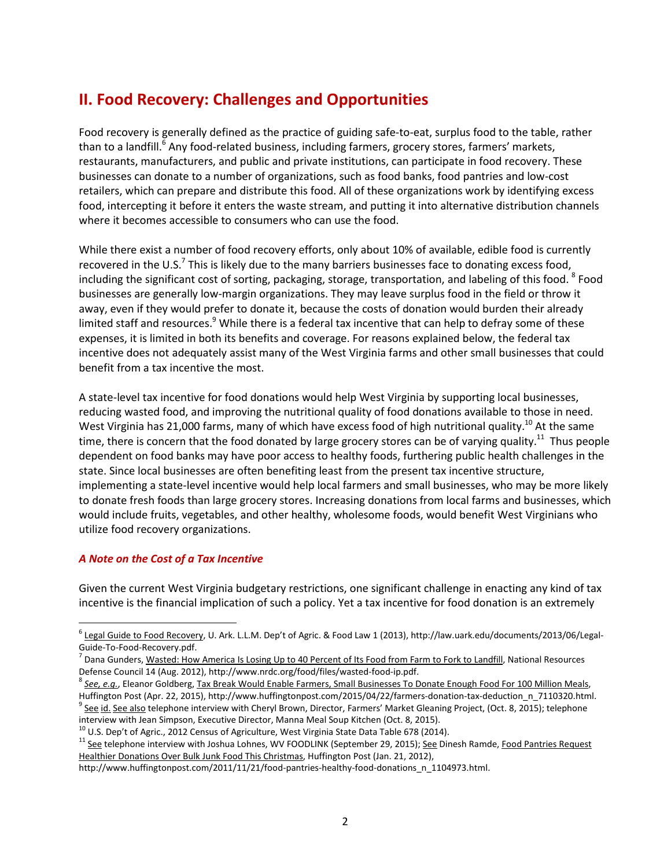## **II. Food Recovery: Challenges and Opportunities**

Food recovery is generally defined as the practice of guiding safe-to-eat, surplus food to the table, rather than to a landfill.<sup>6</sup> Any food-related business, including farmers, grocery stores, farmers' markets, restaurants, manufacturers, and public and private institutions, can participate in food recovery. These businesses can donate to a number of organizations, such as food banks, food pantries and low-cost retailers, which can prepare and distribute this food. All of these organizations work by identifying excess food, intercepting it before it enters the waste stream, and putting it into alternative distribution channels where it becomes accessible to consumers who can use the food.

While there exist a number of food recovery efforts, only about 10% of available, edible food is currently recovered in the U.S.<sup>7</sup> This is likely due to the many barriers businesses face to donating excess food, including the significant cost of sorting, packaging, storage, transportation, and labeling of this food. <sup>8</sup> Food businesses are generally low-margin organizations. They may leave surplus food in the field or throw it away, even if they would prefer to donate it, because the costs of donation would burden their already limited staff and resources.<sup>9</sup> While there is a federal tax incentive that can help to defray some of these expenses, it is limited in both its benefits and coverage. For reasons explained below, the federal tax incentive does not adequately assist many of the West Virginia farms and other small businesses that could benefit from a tax incentive the most.

A state-level tax incentive for food donations would help West Virginia by supporting local businesses, reducing wasted food, and improving the nutritional quality of food donations available to those in need. West Virginia has 21,000 farms, many of which have excess food of high nutritional quality.<sup>10</sup> At the same time, there is concern that the food donated by large grocery stores can be of varying quality.<sup>11</sup> Thus people dependent on food banks may have poor access to healthy foods, furthering public health challenges in the state. Since local businesses are often benefiting least from the present tax incentive structure, implementing a state-level incentive would help local farmers and small businesses, who may be more likely to donate fresh foods than large grocery stores. Increasing donations from local farms and businesses, which would include fruits, vegetables, and other healthy, wholesome foods, would benefit West Virginians who utilize food recovery organizations.

#### *A Note on the Cost of a Tax Incentive*

 $\overline{a}$ 

Given the current West Virginia budgetary restrictions, one significant challenge in enacting any kind of tax incentive is the financial implication of such a policy. Yet a tax incentive for food donation is an extremely

 $^6$  Legal Guide to Food Recovery, U. Ark. L.L.M. Dep't of Agric. & Food Law 1 (2013), http://law.uark.edu/documents/2013/06/Legal-

Guide-To-Food-Recovery.pdf.<br><sup>7</sup> Dana Gunders, <u>Wasted: How America Is Losing Up to 40 Percent of Its Food from Farm to Fork to Landfill</u>, National Resources

Defense Council 14 (Aug. 2012), http://www.nrdc.org/food/files/wasted-food-ip.pdf.<br><sup>8</sup> See, e.g., Eleanor Goldberg, <u>Tax Break Would Enable Farmers, Small Businesses To Donate Enough Food For 100 Million Meals,</u> Huffington Post (Apr. 22, 2015), http://www.huffingtonpost.com/2015/04/22/farmers-donation-tax-deduction\_n\_7110320.html.<br><sup>9</sup> See id. See also telephone interview with Cheryl Brown, Director, Farmers' Market Gleaning Projec

interview with Jean Simpson, Executive Director, Manna Meal Soup Kitchen (Oct. 8, 2015).<br><sup>10</sup> U.S. Dep't of Agric., 2012 Census of Agriculture, West Virginia State Data Table 678 (2014).<br><sup>11</sup> See telephone interview with J

Healthier Donations Over Bulk Junk Food This Christmas, Huffington Post (Jan. 21, 2012),

http://www.huffingtonpost.com/2011/11/21/food-pantries-healthy-food-donations\_n\_1104973.html.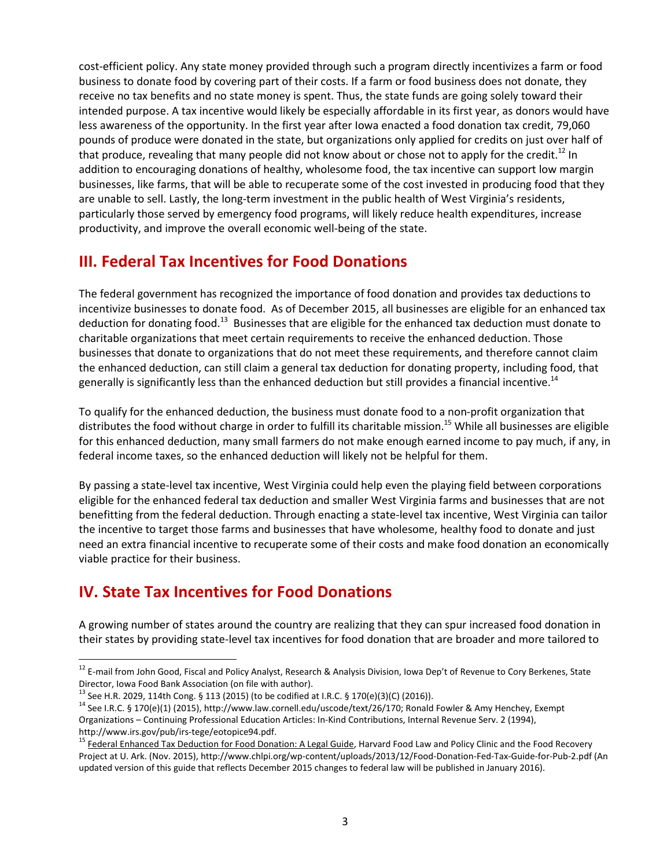cost-efficient policy. Any state money provided through such a program directly incentivizes a farm or food business to donate food by covering part of their costs. If a farm or food business does not donate, they receive no tax benefits and no state money is spent. Thus, the state funds are going solely toward their intended purpose. A tax incentive would likely be especially affordable in its first year, as donors would have less awareness of the opportunity. In the first year after Iowa enacted a food donation tax credit, 79,060 pounds of produce were donated in the state, but organizations only applied for credits on just over half of that produce, revealing that many people did not know about or chose not to apply for the credit.<sup>12</sup> In addition to encouraging donations of healthy, wholesome food, the tax incentive can support low margin businesses, like farms, that will be able to recuperate some of the cost invested in producing food that they are unable to sell. Lastly, the long-term investment in the public health of West Virginia's residents, particularly those served by emergency food programs, will likely reduce health expenditures, increase productivity, and improve the overall economic well-being of the state.

## **III. Federal Tax Incentives for Food Donations**

The federal government has recognized the importance of food donation and provides tax deductions to incentivize businesses to donate food. As of December 2015, all businesses are eligible for an enhanced tax deduction for donating food.<sup>13</sup> Businesses that are eligible for the enhanced tax deduction must donate to charitable organizations that meet certain requirements to receive the enhanced deduction. Those businesses that donate to organizations that do not meet these requirements, and therefore cannot claim the enhanced deduction, can still claim a general tax deduction for donating property, including food, that generally is significantly less than the enhanced deduction but still provides a financial incentive.<sup>14</sup>

To qualify for the enhanced deduction, the business must donate food to a non-profit organization that distributes the food without charge in order to fulfill its charitable mission. <sup>15</sup> While all businesses are eligible for this enhanced deduction, many small farmers do not make enough earned income to pay much, if any, in federal income taxes, so the enhanced deduction will likely not be helpful for them.

By passing a state-level tax incentive, West Virginia could help even the playing field between corporations eligible for the enhanced federal tax deduction and smaller West Virginia farms and businesses that are not benefitting from the federal deduction. Through enacting a state-level tax incentive, West Virginia can tailor the incentive to target those farms and businesses that have wholesome, healthy food to donate and just need an extra financial incentive to recuperate some of their costs and make food donation an economically viable practice for their business.

# **IV. State Tax Incentives for Food Donations**

 $\overline{a}$ 

A growing number of states around the country are realizing that they can spur increased food donation in their states by providing state-level tax incentives for food donation that are broader and more tailored to

<sup>&</sup>lt;sup>12</sup> E-mail from John Good, Fiscal and Policy Analyst, Research & Analysis Division, Iowa Dep't of Revenue to Cory Berkenes, State<br>Director. Iowa Food Bank Association (on file with author).

<sup>&</sup>lt;sup>13</sup> See H.R. 2029, 114th Cong. § 113 (2015) (to be codified at I.R.C. § 170(e)(3)(C) (2016)).<br><sup>14</sup> See I.R.C. § 170(e)(1) (2015), http://www.law.cornell.edu/uscode/text/26/170; Ronald Fowler & Amy Henchey, Exempt Organizations – Continuing Professional Education Articles: In-Kind Contributions, Internal Revenue Serv. 2 (1994),

http://www.irs.gov/pub/irs-tege/eotopice94.pdf.<br><sup>15</sup> Federal Enhanced Tax Deduction for Food Donation: A Legal Guide, Harvard Food Law and Policy Clinic and the Food Recovery Project at U. Ark. (Nov. 2015), http://www.chlpi.org/wp-content/uploads/2013/12/Food-Donation-Fed-Tax-Guide-for-Pub-2.pdf (An updated version of this guide that reflects December 2015 changes to federal law will be published in January 2016).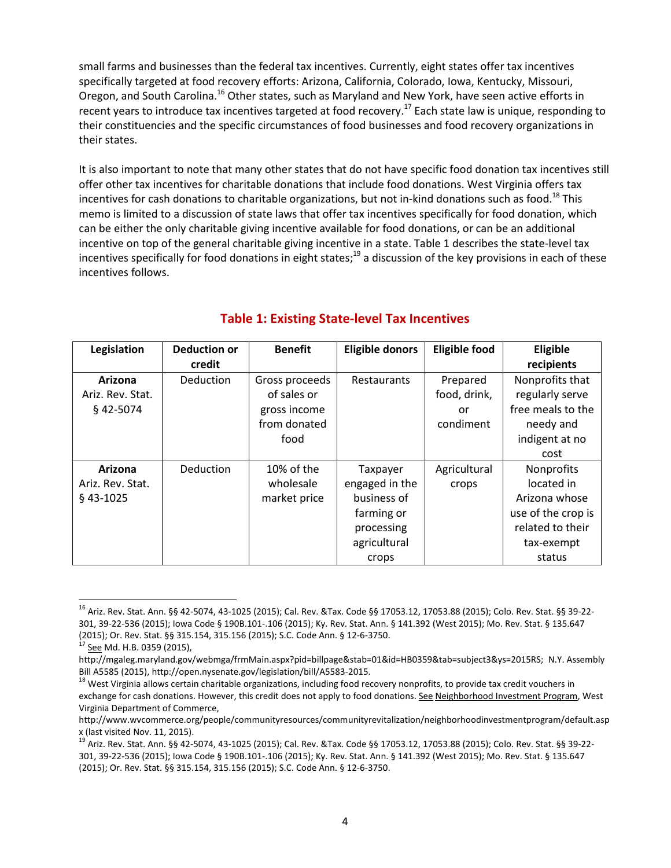small farms and businesses than the federal tax incentives. Currently, eight states offer tax incentives specifically targeted at food recovery efforts: Arizona, California, Colorado, Iowa, Kentucky, Missouri, Oregon, and South Carolina.<sup>16</sup> Other states, such as Maryland and New York, have seen active efforts in recent years to introduce tax incentives targeted at food recovery.<sup>17</sup> Each state law is unique, responding to their constituencies and the specific circumstances of food businesses and food recovery organizations in their states.

It is also important to note that many other states that do not have specific food donation tax incentives still offer other tax incentives for charitable donations that include food donations. West Virginia offers tax incentives for cash donations to charitable organizations, but not in-kind donations such as food.<sup>18</sup> This memo is limited to a discussion of state laws that offer tax incentives specifically for food donation, which can be either the only charitable giving incentive available for food donations, or can be an additional incentive on top of the general charitable giving incentive in a state. Table 1 describes the state-level tax incentives specifically for food donations in eight states;<sup>19</sup> a discussion of the key provisions in each of these incentives follows.

| Legislation      | <b>Deduction or</b><br>credit | <b>Benefit</b> | <b>Eligible donors</b> | <b>Eligible food</b> | Eligible<br>recipients |
|------------------|-------------------------------|----------------|------------------------|----------------------|------------------------|
| Arizona          | Deduction                     | Gross proceeds | Restaurants            | Prepared             | Nonprofits that        |
| Ariz. Rev. Stat. |                               | of sales or    |                        | food, drink,         | regularly serve        |
| $§$ 42-5074      |                               | gross income   |                        | or                   | free meals to the      |
|                  |                               | from donated   |                        | condiment            | needy and              |
|                  |                               | food           |                        |                      | indigent at no         |
|                  |                               |                |                        |                      | cost                   |
| Arizona          | Deduction                     | 10% of the     | Taxpayer               | Agricultural         | <b>Nonprofits</b>      |
| Ariz. Rev. Stat. |                               | wholesale      | engaged in the         | crops                | located in             |
| $§$ 43-1025      |                               | market price   | business of            |                      | Arizona whose          |
|                  |                               |                | farming or             |                      | use of the crop is     |
|                  |                               |                | processing             |                      | related to their       |
|                  |                               |                | agricultural           |                      | tax-exempt             |
|                  |                               |                | crops                  |                      | status                 |

### **Table 1: Existing State-level Tax Incentives**

<sup>16</sup> Ariz. Rev. Stat. Ann. §§ 42-5074, 43-1025 (2015); Cal. Rev. &Tax. Code §§ 17053.12, 17053.88 (2015); Colo. Rev. Stat. §§ 39-22- 301, 39-22-536 (2015); Iowa Code § 190B.101-.106 (2015); Ky. Rev. Stat. Ann. § 141.392 (West 2015); Mo. Rev. Stat. § 135.647 (2015); Or. Rev. Stat. §§ 315.154, 315.156 (2015); S.C. Code Ann. § 12-6-3750.<br><sup>17</sup> <u>See</u> Md. H.B. 0359 (2015),

http://mgaleg.maryland.gov/webmga/frmMain.aspx?pid=billpage&stab=01&id=HB0359&tab=subject3&ys=2015RS; N.Y. Assembly Bill A5585 (2015), http://open.nysenate.gov/legislation/bill/A5583-2015.<br><sup>18</sup> West Virginia allows certain charitable organizations, including food recovery nonprofits, to provide tax credit vouchers in

exchange for cash donations. However, this credit does not apply to food donations. See Neighborhood Investment Program, West Virginia Department of Commerce,

[http://www.wvcommerce.org/people/communityresources/communityrevitalization/neighborhoodinvestmentprogram/default.asp](http://www.wvcommerce.org/people/communityresources/communityrevitalization/neighborhoodinvestmentprogram/default.aspx) [x](http://www.wvcommerce.org/people/communityresources/communityrevitalization/neighborhoodinvestmentprogram/default.aspx) (last visited Nov. 11, 2015).<br><sup>19</sup> Ariz. Rev. Stat. Ann. §§ 42-5074, 43-1025 (2015); Cal. Rev. &Tax. Code §§ 17053.12, 17053.88 (2015); Colo. Rev. Stat. §§ 39-22-

<sup>301,</sup> 39-22-536 (2015); Iowa Code § 190B.101-.106 (2015); Ky. Rev. Stat. Ann. § 141.392 (West 2015); Mo. Rev. Stat. § 135.647 (2015); Or. Rev. Stat. §§ 315.154, 315.156 (2015); S.C. Code Ann. § 12-6-3750.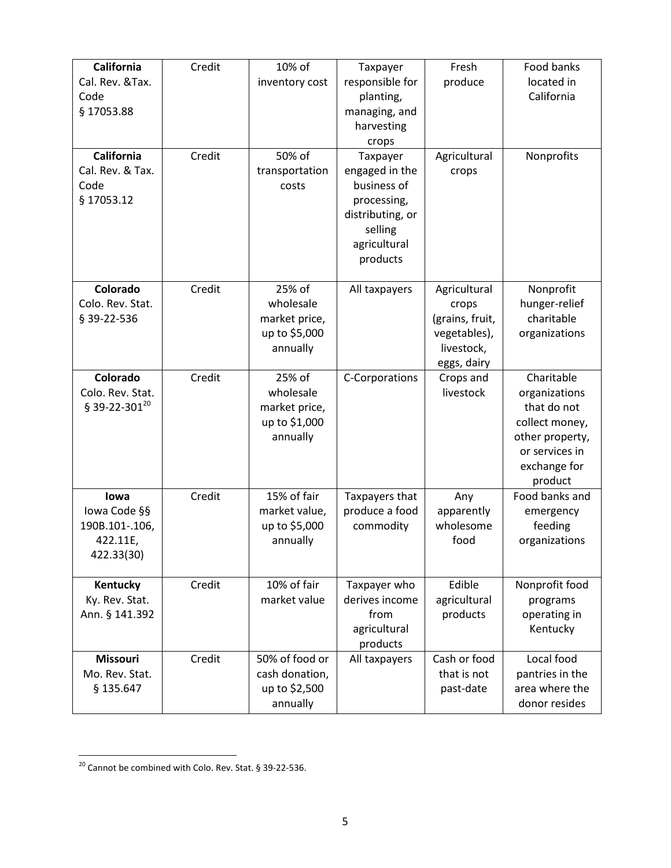| <b>California</b>         | Credit | 10% of         | Taxpayer         | Fresh           | Food banks      |
|---------------------------|--------|----------------|------------------|-----------------|-----------------|
| Cal. Rev. & Tax.          |        |                |                  | produce         | located in      |
|                           |        | inventory cost | responsible for  |                 |                 |
| Code                      |        |                | planting,        |                 | California      |
| § 17053.88                |        |                | managing, and    |                 |                 |
|                           |        |                | harvesting       |                 |                 |
|                           |        |                | crops            |                 |                 |
| <b>California</b>         | Credit | 50% of         | Taxpayer         | Agricultural    | Nonprofits      |
| Cal. Rev. & Tax.          |        | transportation | engaged in the   | crops           |                 |
| Code                      |        | costs          | business of      |                 |                 |
| § 17053.12                |        |                | processing,      |                 |                 |
|                           |        |                | distributing, or |                 |                 |
|                           |        |                | selling          |                 |                 |
|                           |        |                | agricultural     |                 |                 |
|                           |        |                | products         |                 |                 |
|                           |        |                |                  |                 |                 |
| Colorado                  | Credit | 25% of         | All taxpayers    | Agricultural    | Nonprofit       |
| Colo. Rev. Stat.          |        | wholesale      |                  | crops           | hunger-relief   |
| § 39-22-536               |        | market price,  |                  | (grains, fruit, | charitable      |
|                           |        | up to \$5,000  |                  | vegetables),    | organizations   |
|                           |        | annually       |                  | livestock,      |                 |
|                           |        |                |                  | eggs, dairy     |                 |
| Colorado                  | Credit | 25% of         | C-Corporations   | Crops and       | Charitable      |
| Colo. Rev. Stat.          |        | wholesale      |                  | livestock       | organizations   |
| § 39-22-301 <sup>20</sup> |        | market price,  |                  |                 | that do not     |
|                           |        | up to \$1,000  |                  |                 | collect money,  |
|                           |        | annually       |                  |                 | other property, |
|                           |        |                |                  |                 | or services in  |
|                           |        |                |                  |                 |                 |
|                           |        |                |                  |                 | exchange for    |
|                           |        |                |                  |                 | product         |
| lowa                      | Credit | 15% of fair    | Taxpayers that   | Any             | Food banks and  |
| lowa Code §§              |        | market value,  | produce a food   | apparently      | emergency       |
| 190B.101-.106,            |        | up to \$5,000  | commodity        | wholesome       | feeding         |
| 422.11E,                  |        | annually       |                  | food            | organizations   |
| 422.33(30)                |        |                |                  |                 |                 |
|                           |        |                |                  |                 |                 |
| Kentucky                  | Credit | 10% of fair    | Taxpayer who     | Edible          | Nonprofit food  |
| Ky. Rev. Stat.            |        | market value   | derives income   | agricultural    | programs        |
| Ann. § 141.392            |        |                | from             | products        | operating in    |
|                           |        |                | agricultural     |                 | Kentucky        |
|                           |        |                | products         |                 |                 |
| <b>Missouri</b>           | Credit | 50% of food or | All taxpayers    | Cash or food    | Local food      |
| Mo. Rev. Stat.            |        | cash donation, |                  | that is not     | pantries in the |
| § 135.647                 |        | up to \$2,500  |                  | past-date       | area where the  |
|                           |        | annually       |                  |                 | donor resides   |

 $\overline{a}$  $^{20}$  Cannot be combined with Colo. Rev. Stat. § 39-22-536.

 $\overline{\phantom{a}}$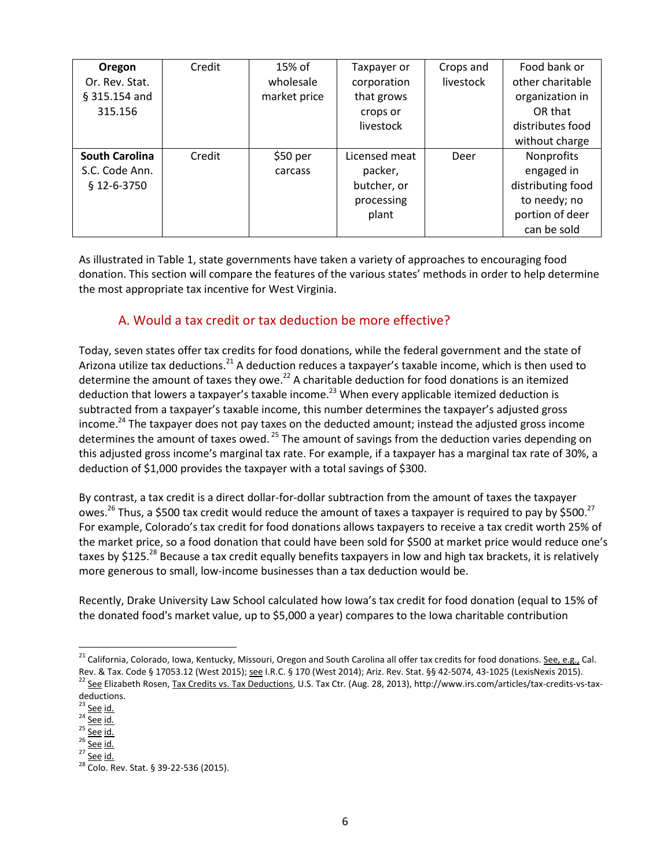| Oregon                | Credit | $15%$ of     | Taxpayer or   | Crops and | Food bank or      |
|-----------------------|--------|--------------|---------------|-----------|-------------------|
| Or. Rev. Stat.        |        | wholesale    | corporation   | livestock | other charitable  |
| $§$ 315.154 and       |        | market price | that grows    |           | organization in   |
| 315.156               |        |              | crops or      |           | OR that           |
|                       |        |              | livestock     |           | distributes food  |
|                       |        |              |               |           | without charge    |
| <b>South Carolina</b> | Credit | $$50$ per    | Licensed meat | Deer      | Nonprofits        |
| S.C. Code Ann.        |        | carcass      | packer,       |           | engaged in        |
| $$12-6-3750$          |        |              | butcher, or   |           | distributing food |
|                       |        |              | processing    |           | to needy; no      |
|                       |        |              | plant         |           | portion of deer   |
|                       |        |              |               |           | can be sold       |

As illustrated in Table 1, state governments have taken a variety of approaches to encouraging food donation. This section will compare the features of the various states' methods in order to help determine the most appropriate tax incentive for West Virginia.

#### A. Would a tax credit or tax deduction be more effective?

Today, seven states offer tax credits for food donations, while the federal government and the state of Arizona utilize tax deductions.<sup>21</sup> A deduction reduces a taxpayer's taxable income, which is then used to determine the amount of taxes they owe.<sup>22</sup> A charitable deduction for food donations is an itemized deduction that lowers a taxpayer's taxable income.<sup>23</sup> When every applicable itemized deduction is subtracted from a taxpayer's taxable income, this number determines the taxpayer's adjusted gross income.<sup>24</sup> The taxpayer does not pay taxes on the deducted amount; instead the adjusted gross income determines the amount of taxes owed.<sup>25</sup> The amount of savings from the deduction varies depending on this adjusted gross income's marginal tax rate. For example, if a taxpayer has a marginal tax rate of 30%, a deduction of \$1,000 provides the taxpayer with a total savings of \$300.

By contrast, a tax credit is a direct dollar-for-dollar subtraction from the amount of taxes the taxpayer owes.<sup>26</sup> Thus, a \$500 tax credit would reduce the amount of taxes a taxpayer is required to pay by \$500.<sup>27</sup> For example, Colorado's tax credit for food donations allows taxpayers to receive a tax credit worth 25% of the market price, so a food donation that could have been sold for \$500 at market price would reduce one's taxes by \$125.<sup>28</sup> Because a tax credit equally benefits taxpayers in low and high tax brackets, it is relatively more generous to small, low-income businesses than a tax deduction would be.

Recently, Drake University Law School calculated how Iowa's tax credit for food donation (equal to 15% of the donated food's market value, up to \$5,000 a year) compares to the Iowa charitable contribution

<sup>&</sup>lt;sup>21</sup> California, Colorado, Iowa, Kentucky, Missouri, Oregon and South Carolina all offer tax credits for food donations. <u>See, e.g.,</u> Cal. Rev. & Tax. Code § 17053.12 (West 2015); <u>see</u> I.R.C. § 170 (West 2014); Ariz. Rev. Stat. §§ 42-5074, 43-1025 (LexisNexis 2015).<br><sup>22</sup> See Elizabeth Rosen, Tax Credits vs. Tax Deductions, U.S. Tax Ctr. (Aug. 28, 2013), http

deductions.<br><sup>23</sup> See id.

<sup>&</sup>lt;sup>24</sup> <u>See id.</u><br>
<sup>25</sup> <u>See id.</u><br>
<sup>27</sup> <u>See id.</u><br>
<sup>28</sup> Colo. Rev. Stat. § 39-22-536 (2015).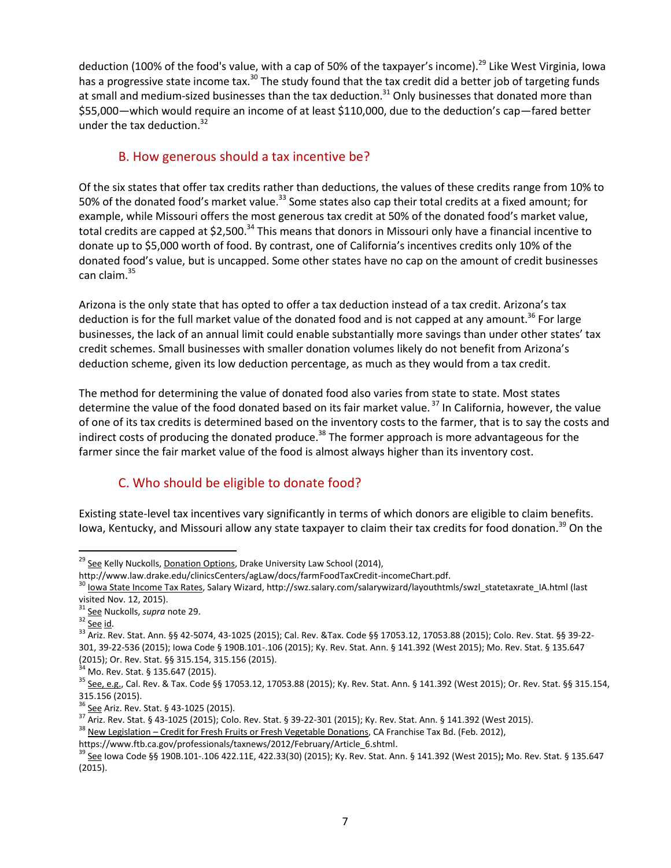deduction (100% of the food's value, with a cap of 50% of the taxpayer's income).<sup>29</sup> Like West Virginia, Iowa has a progressive state income tax.<sup>30</sup> The study found that the tax credit did a better job of targeting funds at small and medium-sized businesses than the tax deduction.<sup>31</sup> Only businesses that donated more than \$55,000—which would require an income of at least \$110,000, due to the deduction's cap—fared better under the tax deduction. $32$ 

### <span id="page-6-0"></span>B. How generous should a tax incentive be?

Of the six states that offer tax credits rather than deductions, the values of these credits range from 10% to 50% of the donated food's market value.<sup>33</sup> Some states also cap their total credits at a fixed amount; for example, while Missouri offers the most generous tax credit at 50% of the donated food's market value, total credits are capped at \$2,500.<sup>34</sup> This means that donors in Missouri only have a financial incentive to donate up to \$5,000 worth of food. By contrast, one of California's incentives credits only 10% of the donated food's value, but is uncapped. Some other states have no cap on the amount of credit businesses can claim.<sup>35</sup>

Arizona is the only state that has opted to offer a tax deduction instead of a tax credit. Arizona's tax deduction is for the full market value of the donated food and is not capped at any amount.<sup>36</sup> For large businesses, the lack of an annual limit could enable substantially more savings than under other states' tax credit schemes. Small businesses with smaller donation volumes likely do not benefit from Arizona's deduction scheme, given its low deduction percentage, as much as they would from a tax credit.

The method for determining the value of donated food also varies from state to state. Most states determine the value of the food donated based on its fair market value.<sup>37</sup> In California, however, the value of one of its tax credits is determined based on the inventory costs to the farmer, that is to say the costs and indirect costs of producing the donated produce.<sup>38</sup> The former approach is more advantageous for the farmer since the fair market value of the food is almost always higher than its inventory cost.

### C. Who should be eligible to donate food?

Existing state-level tax incentives vary significantly in terms of which donors are eligible to claim benefits. Iowa, Kentucky, and Missouri allow any state taxpayer to claim their tax credits for food donation.<sup>39</sup> On the

<sup>&</sup>lt;sup>29</sup> See Kelly Nuckolls, Donation Options, Drake University Law School (2014),<br>http://www.law.drake.edu/clinicsCenters/agLaw/docs/farmFoodTaxCredit-incomeChart.pdf.

<sup>&</sup>lt;sup>30</sup> Iowa State Income Tax Rates, Salary Wizard, [http://swz.salary.com/salarywizard/layouthtmls/swzl\\_statetaxrate\\_IA.html](http://swz.salary.com/salarywizard/layouthtmls/swzl_statetaxrate_IA.html) (last visited Nov. 12, 2015).<br><sup>31</sup> <u>See</u> Nuckolls, *supra* note [29.](#page-6-0)<br><sup>32</sup> <u>See id</u>.<br><sup>33</sup> Ariz. Rev. Stat. Ann. §§ 42-5074, 43-1025 (2015); Cal. Rev. &Tax. Code §§ 17053.12, 17053.88 (2015); Colo. Rev. Stat. §§ 39-22-

<sup>301,</sup> 39-22-536 (2015); Iowa Code § 190B.101-.106 (2015); Ky. Rev. Stat. Ann. § 141.392 (West 2015); Mo. Rev. Stat. § 135.647

<sup>(2015);</sup> Or. Rev. Stat. §§ 315.154, 315.156 (2015).<br><sup>34</sup> Mo. Rev. Stat. § 135.647 (2015).<br><sup>35</sup> <u>See, e.g.</u>, Cal. Rev. & Tax. Code §§ 17053.12, 17053.88 (2015); Ky. Rev. Stat. Ann. § 141.392 (West 2015); Or. Rev. Stat. §§ 31

<sup>315.156 (2015).&</sup>lt;br><sup>36</sup> <u>See</u> Ariz. Rev. Stat. § 43-1025 (2015).<br><sup>37</sup> Ariz. Rev. Stat. § 43-1025 (2015); Colo. Rev. Stat. § 39-22-301 (2015); Ky. Rev. Stat. Ann. § 141.392 (West 2015).<br><sup>38</sup> <u>New Legislation — Credit for Fresh</u>

https://www.ftb.ca.gov/professionals/taxnews/2012/February/Article\_6.shtml.<br><sup>39</sup> <u>See</u> Iowa Code §§ 190B.101-.106 422.11E, 422.33(30) (2015); Ky. Rev. Stat. Ann. § 141.392 (West 2015)**;** Mo. Rev. Stat. § 135.647 (2015).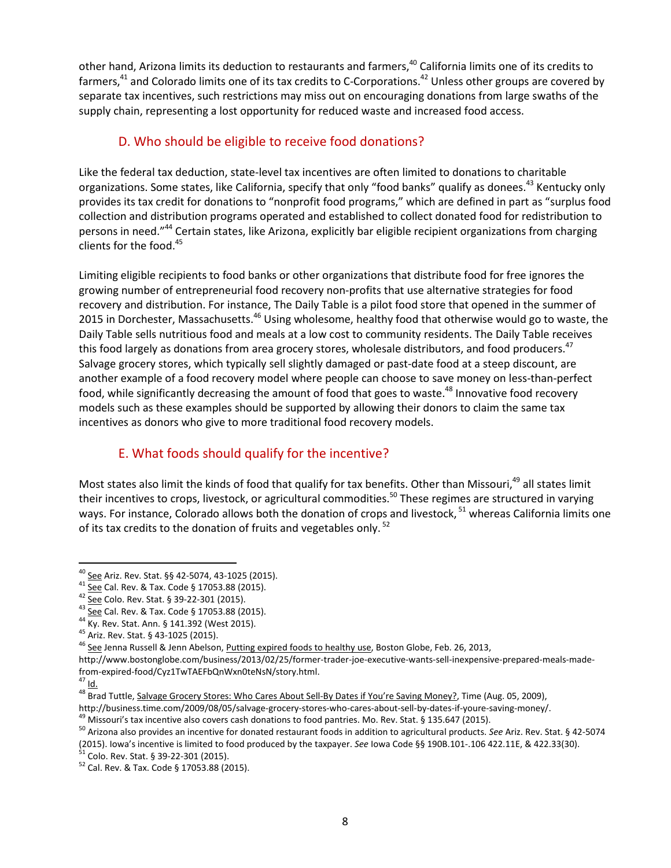other hand, Arizona limits its deduction to restaurants and farmers,<sup>40</sup> California limits one of its credits to farmers, $41$  and Colorado limits one of its tax credits to C-Corporations. $42$  Unless other groups are covered by separate tax incentives, such restrictions may miss out on encouraging donations from large swaths of the supply chain, representing a lost opportunity for reduced waste and increased food access.

#### D. Who should be eligible to receive food donations?

Like the federal tax deduction, state-level tax incentives are often limited to donations to charitable organizations. Some states, like California, specify that only "food banks" qualify as donees.<sup>43</sup> Kentucky only provides its tax credit for donations to "nonprofit food programs," which are defined in part as "surplus food collection and distribution programs operated and established to collect donated food for redistribution to persons in need."<sup>44</sup> Certain states, like Arizona, explicitly bar eligible recipient organizations from charging clients for the food. 45

Limiting eligible recipients to food banks or other organizations that distribute food for free ignores the growing number of entrepreneurial food recovery non-profits that use alternative strategies for food recovery and distribution. For instance, The Daily Table is a pilot food store that opened in the summer of 2015 in Dorchester, Massachusetts.<sup>46</sup> Using wholesome, healthy food that otherwise would go to waste, the Daily Table sells nutritious food and meals at a low cost to community residents. The Daily Table receives this food largely as donations from area grocery stores, wholesale distributors, and food producers.<sup>47</sup> Salvage grocery stores, which typically sell slightly damaged or past-date food at a steep discount, are another example of a food recovery model where people can choose to save money on less-than-perfect food, while significantly decreasing the amount of food that goes to waste.<sup>48</sup> Innovative food recovery models such as these examples should be supported by allowing their donors to claim the same tax incentives as donors who give to more traditional food recovery models.

#### E. What foods should qualify for the incentive?

Most states also limit the kinds of food that qualify for tax benefits. Other than Missouri,<sup>49</sup> all states limit their incentives to crops, livestock, or agricultural commodities.<sup>50</sup> These regimes are structured in varying ways. For instance, Colorado allows both the donation of crops and livestock, <sup>51</sup> whereas California limits one of its tax credits to the donation of fruits and vegetables only.<sup>52</sup>

http://www.bostonglobe.com/business/2013/02/25/former-trader-joe-executive-wants-sell-inexpensive-prepared-meals-made-

<sup>&</sup>lt;sup>40</sup> See Ariz. Rev. Stat. §§ 42-5074, 43-1025 (2015).<br>
<sup>41</sup> See Cal. Rev. & Tax. Code § 17053.88 (2015).<br>
<sup>42</sup> <u>See</u> Colo. Rev. Stat. § 39-22-301 (2015).<br>
<sup>43</sup> <u>See</u> Cal. Rev. & Tax. Code § 17053.88 (2015).<br>
<sup>43</sup> Ky. Rev.

from-expired-food/Cyz1TwTAEFbQnWxn0teNsN/story.html.<br>
<sup>47</sup> I<u>d.</u><br>
<sup>48</sup> Brad Tuttle, <u>Salvage Grocery Stores: Who Cares About Sell-By Dates if You're Saving Money?</u>, Time (Aug. 05, 2009),<br>
http://business.time.com/2009/08/0

<sup>&</sup>lt;sup>49</sup> Missouri's tax incentive also covers cash donations to food pantries. Mo. Rev. Stat. § 135.647 (2015).<br><sup>50</sup> Arizona also provides an incentive for donated restaurant foods in addition to agricultural products. See Ar (2015). Iowa's incentive is limited to food produced by the taxpayer. *See* Iowa Code §§ 190B.101-.106 422.11E, & 422.33(30). <sup>51</sup> Colo. Rev. Stat. § 39-22-301 (2015). <sup>52</sup> Cal. Rev. & Tax. Code § 17053.88 (2015).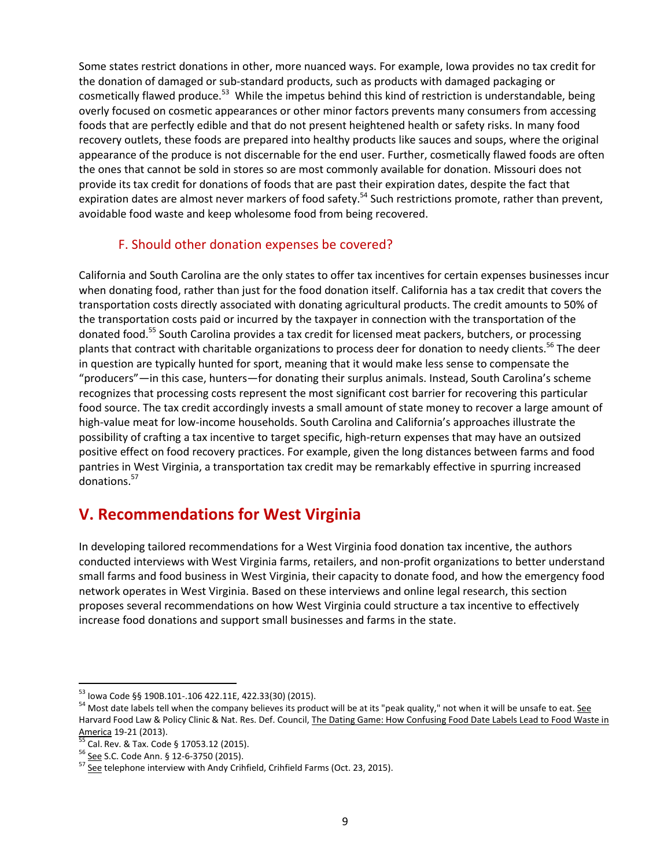Some states restrict donations in other, more nuanced ways. For example, Iowa provides no tax credit for the donation of damaged or sub-standard products, such as products with damaged packaging or cosmetically flawed produce.<sup>53</sup> While the impetus behind this kind of restriction is understandable, being overly focused on cosmetic appearances or other minor factors prevents many consumers from accessing foods that are perfectly edible and that do not present heightened health or safety risks. In many food recovery outlets, these foods are prepared into healthy products like sauces and soups, where the original appearance of the produce is not discernable for the end user. Further, cosmetically flawed foods are often the ones that cannot be sold in stores so are most commonly available for donation. Missouri does not provide its tax credit for donations of foods that are past their expiration dates, despite the fact that expiration dates are almost never markers of food safety.<sup>54</sup> Such restrictions promote, rather than prevent, avoidable food waste and keep wholesome food from being recovered.

#### F. Should other donation expenses be covered?

California and South Carolina are the only states to offer tax incentives for certain expenses businesses incur when donating food, rather than just for the food donation itself. California has a tax credit that covers the transportation costs directly associated with donating agricultural products. The credit amounts to 50% of the transportation costs paid or incurred by the taxpayer in connection with the transportation of the donated food.<sup>55</sup> South Carolina provides a tax credit for licensed meat packers, butchers, or processing plants that contract with charitable organizations to process deer for donation to needy clients.<sup>56</sup> The deer in question are typically hunted for sport, meaning that it would make less sense to compensate the "producers"—in this case, hunters—for donating their surplus animals. Instead, South Carolina's scheme recognizes that processing costs represent the most significant cost barrier for recovering this particular food source. The tax credit accordingly invests a small amount of state money to recover a large amount of high-value meat for low-income households. South Carolina and California's approaches illustrate the possibility of crafting a tax incentive to target specific, high-return expenses that may have an outsized positive effect on food recovery practices. For example, given the long distances between farms and food pantries in West Virginia, a transportation tax credit may be remarkably effective in spurring increased donations.<sup>57</sup>

# **V. Recommendations for West Virginia**

In developing tailored recommendations for a West Virginia food donation tax incentive, the authors conducted interviews with West Virginia farms, retailers, and non-profit organizations to better understand small farms and food business in West Virginia, their capacity to donate food, and how the emergency food network operates in West Virginia. Based on these interviews and online legal research, this section proposes several recommendations on how West Virginia could structure a tax incentive to effectively increase food donations and support small businesses and farms in the state.

<sup>53</sup> Iowa Code §§ 190B.101-.106 422.11E, 422.33(30) (2015).

<sup>&</sup>lt;sup>54</sup> Most date labels tell when the company believes its product will be at its "peak quality," not when it will be unsafe to eat. See Harvard Food Law & Policy Clinic & Nat. Res. Def. Council, The Dating Game: How Confusing Food Date Labels Lead to Food Waste in<br>America 19-21 (2013).

<sup>&</sup>lt;sup>55</sup> Cal. Rev. & Tax. Code § 17053.12 (2015).<br><sup>56</sup> <u>See</u> S.C. Code Ann. § 12-6-3750 (2015).<br><sup>57</sup> See telephone interview with Andy Crihfield, Crihfield Farms (Oct. 23, 2015).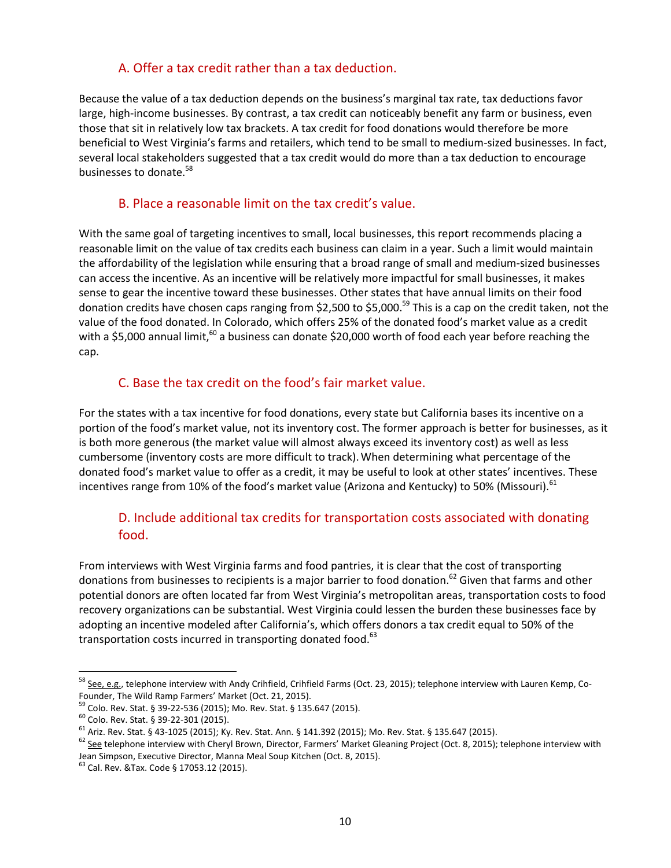#### A. Offer a tax credit rather than a tax deduction.

Because the value of a tax deduction depends on the business's marginal tax rate, tax deductions favor large, high-income businesses. By contrast, a tax credit can noticeably benefit any farm or business, even those that sit in relatively low tax brackets. A tax credit for food donations would therefore be more beneficial to West Virginia's farms and retailers, which tend to be small to medium-sized businesses. In fact, several local stakeholders suggested that a tax credit would do more than a tax deduction to encourage businesses to donate.58

#### B. Place a reasonable limit on the tax credit's value.

With the same goal of targeting incentives to small, local businesses, this report recommends placing a reasonable limit on the value of tax credits each business can claim in a year. Such a limit would maintain the affordability of the legislation while ensuring that a broad range of small and medium-sized businesses can access the incentive. As an incentive will be relatively more impactful for small businesses, it makes sense to gear the incentive toward these businesses. Other states that have annual limits on their food donation credits have chosen caps ranging from \$2,500 to \$5,000.<sup>59</sup> This is a cap on the credit taken, not the value of the food donated. In Colorado, which offers 25% of the donated food's market value as a credit with a \$5,000 annual limit,<sup>60</sup> a business can donate \$20,000 worth of food each year before reaching the cap.

#### C. Base the tax credit on the food's fair market value.

For the states with a tax incentive for food donations, every state but California bases its incentive on a portion of the food's market value, not its inventory cost. The former approach is better for businesses, as it is both more generous (the market value will almost always exceed its inventory cost) as well as less cumbersome (inventory costs are more difficult to track).When determining what percentage of the donated food's market value to offer as a credit, it may be useful to look at other states' incentives. These incentives range from 10% of the food's market value (Arizona and Kentucky) to 50% (Missouri).<sup>61</sup>

### D. Include additional tax credits for transportation costs associated with donating food.

From interviews with West Virginia farms and food pantries, it is clear that the cost of transporting donations from businesses to recipients is a major barrier to food donation.<sup>62</sup> Given that farms and other potential donors are often located far from West Virginia's metropolitan areas, transportation costs to food recovery organizations can be substantial. West Virginia could lessen the burden these businesses face by adopting an incentive modeled after California's, which offers donors a tax credit equal to 50% of the transportation costs incurred in transporting donated food.<sup>63</sup>

<sup>&</sup>lt;sup>58</sup> See, e.g., telephone interview with Andy Crihfield, Crihfield Farms (Oct. 23, 2015); telephone interview with Lauren Kemp, Co-Founder, The Wild Ramp Farmers' Market (Oct. 21, 2015).<br><sup>59</sup> Colo. Rev. Stat. § 39-22-536 (2015); Mo. Rev. Stat. § 135.647 (2015).<br><sup>60</sup> Colo. Rev. Stat. § 39-22-301 (2015).<br><sup>61</sup> Ariz. Rev. Stat. § 43-1025 (2015); Ky. Rev.

Jean Simpson, Executive Director, Manna Meal Soup Kitchen (Oct. 8, 2015).<br><sup>63</sup> Cal. Rev. &Tax. Code § 17053.12 (2015).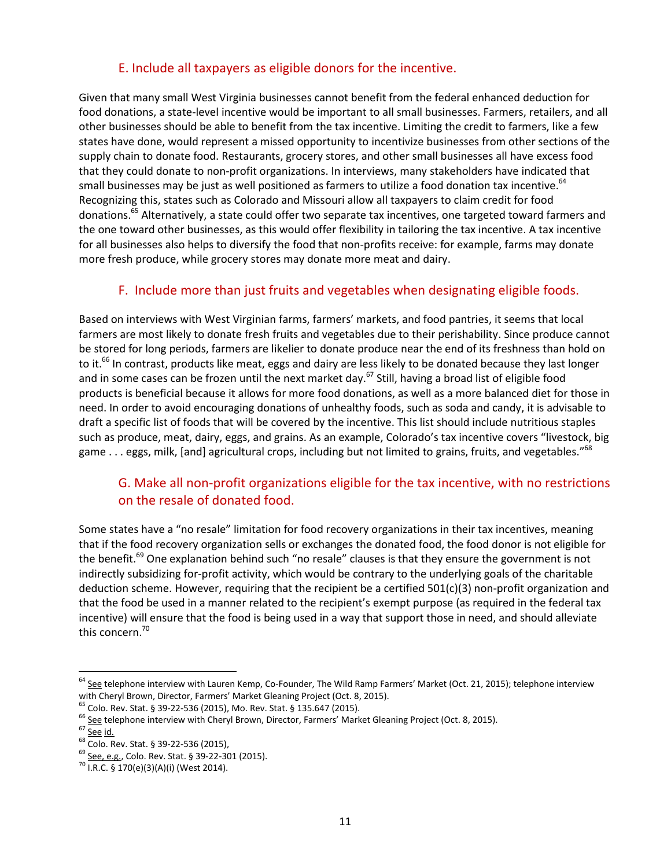#### E. Include all taxpayers as eligible donors for the incentive.

Given that many small West Virginia businesses cannot benefit from the federal enhanced deduction for food donations, a state-level incentive would be important to all small businesses. Farmers, retailers, and all other businesses should be able to benefit from the tax incentive. Limiting the credit to farmers, like a few states have done, would represent a missed opportunity to incentivize businesses from other sections of the supply chain to donate food. Restaurants, grocery stores, and other small businesses all have excess food that they could donate to non-profit organizations. In interviews, many stakeholders have indicated that small businesses may be just as well positioned as farmers to utilize a food donation tax incentive.<sup>64</sup> Recognizing this, states such as Colorado and Missouri allow all taxpayers to claim credit for food donations.65 Alternatively, a state could offer two separate tax incentives, one targeted toward farmers and the one toward other businesses, as this would offer flexibility in tailoring the tax incentive. A tax incentive for all businesses also helps to diversify the food that non-profits receive: for example, farms may donate more fresh produce, while grocery stores may donate more meat and dairy.

#### F. Include more than just fruits and vegetables when designating eligible foods.

Based on interviews with West Virginian farms, farmers' markets, and food pantries, it seems that local farmers are most likely to donate fresh fruits and vegetables due to their perishability. Since produce cannot be stored for long periods, farmers are likelier to donate produce near the end of its freshness than hold on to it.<sup>66</sup> In contrast, products like meat, eggs and dairy are less likely to be donated because they last longer and in some cases can be frozen until the next market day.<sup>67</sup> Still, having a broad list of eligible food products is beneficial because it allows for more food donations, as well as a more balanced diet for those in need. In order to avoid encouraging donations of unhealthy foods, such as soda and candy, it is advisable to draft a specific list of foods that will be covered by the incentive. This list should include nutritious staples such as produce, meat, dairy, eggs, and grains. As an example, Colorado's tax incentive covers "livestock, big game . . . eggs, milk, [and] agricultural crops, including but not limited to grains, fruits, and vegetables."<sup>68</sup>

#### G. Make all non-profit organizations eligible for the tax incentive, with no restrictions on the resale of donated food.

Some states have a "no resale" limitation for food recovery organizations in their tax incentives, meaning that if the food recovery organization sells or exchanges the donated food, the food donor is not eligible for the benefit.<sup>69</sup> One explanation behind such "no resale" clauses is that they ensure the government is not indirectly subsidizing for-profit activity, which would be contrary to the underlying goals of the charitable deduction scheme. However, requiring that the recipient be a certified 501(c)(3) non-profit organization and that the food be used in a manner related to the recipient's exempt purpose (as required in the federal tax incentive) will ensure that the food is being used in a way that support those in need, and should alleviate this concern. 70

<sup>&</sup>lt;sup>64</sup> See telephone interview with Lauren Kemp, Co-Founder, The Wild Ramp Farmers' Market (Oct. 21, 2015); telephone interview with Cheryl Brown, Director, Farmers' Market Gleaning Project (Oct. 8, 2015).<br>
<sup>65</sup> Colo. Rev. Stat. § 39-22-536 (2015), Mo. Rev. Stat. § 135.647 (2015).<br>
<sup>66</sup> <u>See</u> telephone interview with Cheryl Brown, Director, Farmer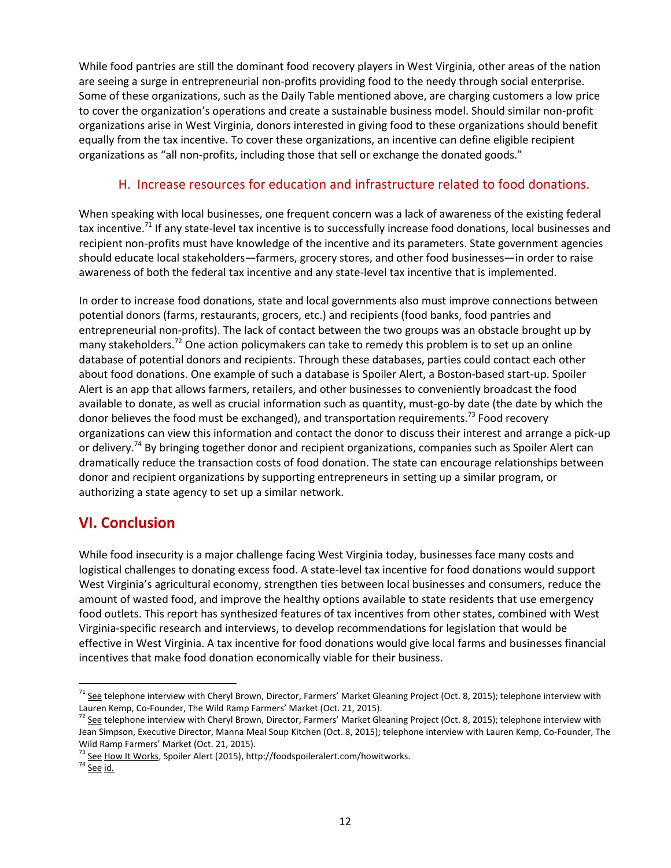While food pantries are still the dominant food recovery players in West Virginia, other areas of the nation are seeing a surge in entrepreneurial non-profits providing food to the needy through social enterprise. Some of these organizations, such as the Daily Table mentioned above, are charging customers a low price to cover the organization's operations and create a sustainable business model. Should similar non-profit organizations arise in West Virginia, donors interested in giving food to these organizations should benefit equally from the tax incentive. To cover these organizations, an incentive can define eligible recipient organizations as "all non-profits, including those that sell or exchange the donated goods."

#### H. Increase resources for education and infrastructure related to food donations.

When speaking with local businesses, one frequent concern was a lack of awareness of the existing federal tax incentive.<sup>71</sup> If any state-level tax incentive is to successfully increase food donations, local businesses and recipient non-profits must have knowledge of the incentive and its parameters. State government agencies should educate local stakeholders—farmers, grocery stores, and other food businesses—in order to raise awareness of both the federal tax incentive and any state-level tax incentive that is implemented.

In order to increase food donations, state and local governments also must improve connections between potential donors (farms, restaurants, grocers, etc.) and recipients (food banks, food pantries and entrepreneurial non-profits). The lack of contact between the two groups was an obstacle brought up by many stakeholders.<sup>72</sup> One action policymakers can take to remedy this problem is to set up an online database of potential donors and recipients. Through these databases, parties could contact each other about food donations. One example of such a database is Spoiler Alert, a Boston-based start-up. Spoiler Alert is an app that allows farmers, retailers, and other businesses to conveniently broadcast the food available to donate, as well as crucial information such as quantity, must-go-by date (the date by which the donor believes the food must be exchanged), and transportation requirements.<sup>73</sup> Food recovery organizations can view this information and contact the donor to discuss their interest and arrange a pick-up or delivery.<sup>74</sup> By bringing together donor and recipient organizations, companies such as Spoiler Alert can dramatically reduce the transaction costs of food donation. The state can encourage relationships between donor and recipient organizations by supporting entrepreneurs in setting up a similar program, or authorizing a state agency to set up a similar network.

### **VI. Conclusion**

While food insecurity is a major challenge facing West Virginia today, businesses face many costs and logistical challenges to donating excess food. A state-level tax incentive for food donations would support West Virginia's agricultural economy, strengthen ties between local businesses and consumers, reduce the amount of wasted food, and improve the healthy options available to state residents that use emergency food outlets. This report has synthesized features of tax incentives from other states, combined with West Virginia-specific research and interviews, to develop recommendations for legislation that would be effective in West Virginia. A tax incentive for food donations would give local farms and businesses financial incentives that make food donation economically viable for their business.

 $^{71}$  See telephone interview with Cheryl Brown, Director, Farmers' Market Gleaning Project (Oct. 8, 2015); telephone interview with Lauren Kemp, Co-Founder, The Wild Ramp Farmers' Market (Oct. 21, 2015).<br><sup>72</sup> See telephone interview with Cheryl Brown, Director, Farmers' Market Gleaning Project (Oct. 8, 2015); telephone interview with

Jean Simpson, Executive Director, Manna Meal Soup Kitchen (Oct. 8, 2015); telephone interview with Lauren Kemp, Co-Founder, The Wild Ramp Farmers' Market (Oct. 21, 2015).<br>
<sup>73</sup> <u>See How It Works</u>, Spoiler Alert (2015), http://foodspoileralert.com/howitworks.<br>
<sup>74</sup> <u>See id.</u>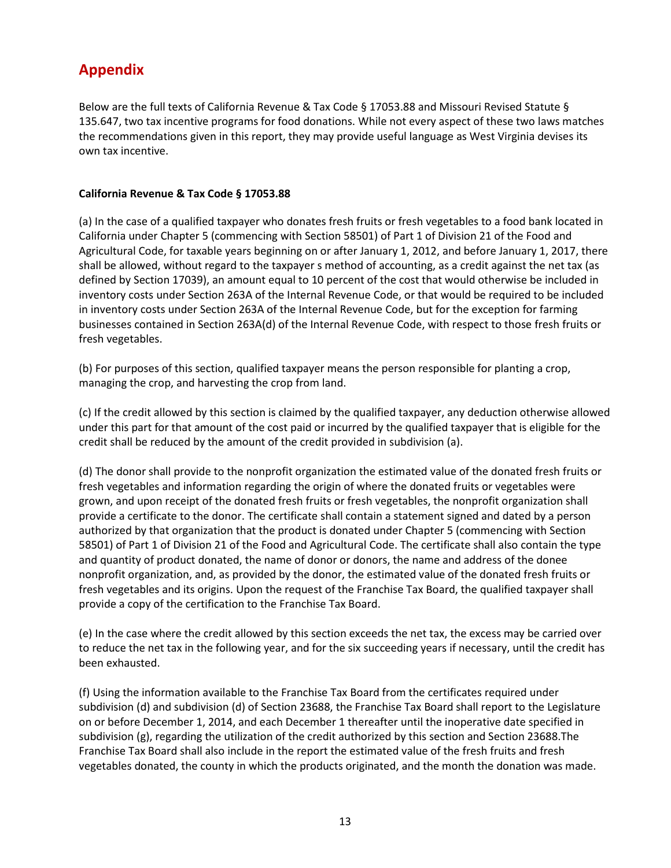## **Appendix**

Below are the full texts of California Revenue & Tax Code § 17053.88 and Missouri Revised Statute § 135.647, two tax incentive programs for food donations. While not every aspect of these two laws matches the recommendations given in this report, they may provide useful language as West Virginia devises its own tax incentive.

#### **California Revenue & Tax Code § 17053.88**

(a) In the case of a qualified taxpayer who donates fresh fruits or fresh vegetables to a food bank located in California under Chapter 5 (commencing with Section 58501) of Part 1 of Division 21 of the Food and Agricultural Code, for taxable years beginning on or after January 1, 2012, and before January 1, 2017, there shall be allowed, without regard to the taxpayer s method of accounting, as a credit against the net tax (as defined by Section 17039), an amount equal to 10 percent of the cost that would otherwise be included in inventory costs under Section 263A of the Internal Revenue Code, or that would be required to be included in inventory costs under Section 263A of the Internal Revenue Code, but for the exception for farming businesses contained in Section 263A(d) of the Internal Revenue Code, with respect to those fresh fruits or fresh vegetables.

(b) For purposes of this section, qualified taxpayer means the person responsible for planting a crop, managing the crop, and harvesting the crop from land.

(c) If the credit allowed by this section is claimed by the qualified taxpayer, any deduction otherwise allowed under this part for that amount of the cost paid or incurred by the qualified taxpayer that is eligible for the credit shall be reduced by the amount of the credit provided in subdivision (a).

(d) The donor shall provide to the nonprofit organization the estimated value of the donated fresh fruits or fresh vegetables and information regarding the origin of where the donated fruits or vegetables were grown, and upon receipt of the donated fresh fruits or fresh vegetables, the nonprofit organization shall provide a certificate to the donor. The certificate shall contain a statement signed and dated by a person authorized by that organization that the product is donated under Chapter 5 (commencing with Section 58501) of Part 1 of Division 21 of the Food and Agricultural Code. The certificate shall also contain the type and quantity of product donated, the name of donor or donors, the name and address of the donee nonprofit organization, and, as provided by the donor, the estimated value of the donated fresh fruits or fresh vegetables and its origins. Upon the request of the Franchise Tax Board, the qualified taxpayer shall provide a copy of the certification to the Franchise Tax Board.

(e) In the case where the credit allowed by this section exceeds the net tax, the excess may be carried over to reduce the net tax in the following year, and for the six succeeding years if necessary, until the credit has been exhausted.

(f) Using the information available to the Franchise Tax Board from the certificates required under subdivision (d) and subdivision (d) of Section 23688, the Franchise Tax Board shall report to the Legislature on or before December 1, 2014, and each December 1 thereafter until the inoperative date specified in subdivision (g), regarding the utilization of the credit authorized by this section and Section 23688.The Franchise Tax Board shall also include in the report the estimated value of the fresh fruits and fresh vegetables donated, the county in which the products originated, and the month the donation was made.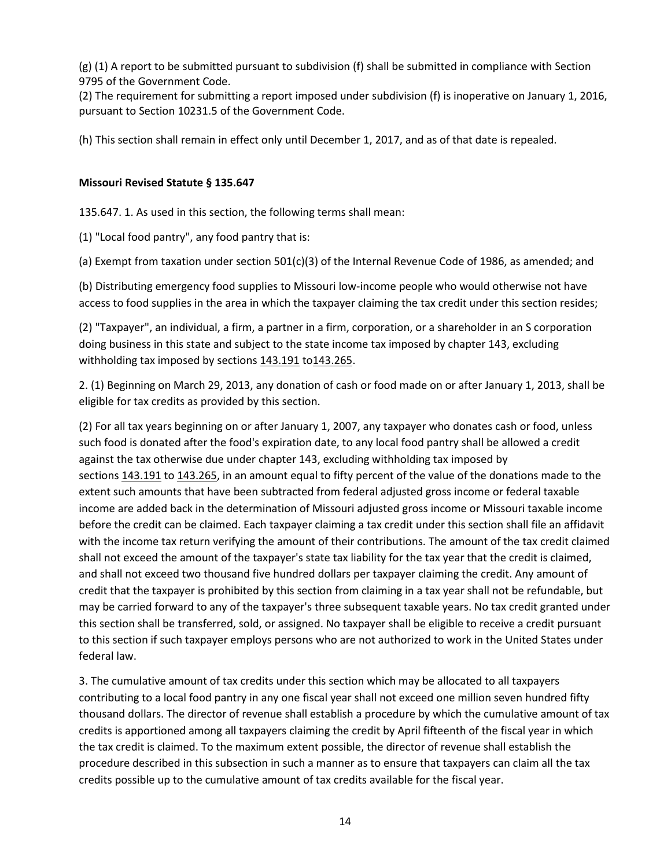(g) (1) A report to be submitted pursuant to subdivision (f) shall be submitted in compliance with Section 9795 of the Government Code.

(2) The requirement for submitting a report imposed under subdivision (f) is inoperative on January 1, 2016, pursuant to Section 10231.5 of the Government Code.

(h) This section shall remain in effect only until December 1, 2017, and as of that date is repealed.

#### **Missouri Revised Statute § 135.647**

135.647. 1. As used in this section, the following terms shall mean:

(1) "Local food pantry", any food pantry that is:

(a) Exempt from taxation under section 501(c)(3) of the Internal Revenue Code of 1986, as amended; and

(b) Distributing emergency food supplies to Missouri low-income people who would otherwise not have access to food supplies in the area in which the taxpayer claiming the tax credit under this section resides;

(2) "Taxpayer", an individual, a firm, a partner in a firm, corporation, or a shareholder in an S corporation doing business in this state and subject to the state income tax imposed by chapter 143, excluding withholding tax imposed by sections [143.191](http://www.moga.mo.gov/mostatutes/stathtml/14300001911.html) to 143.265.

2. (1) Beginning on March 29, 2013, any donation of cash or food made on or after January 1, 2013, shall be eligible for tax credits as provided by this section.

(2) For all tax years beginning on or after January 1, 2007, any taxpayer who donates cash or food, unless such food is donated after the food's expiration date, to any local food pantry shall be allowed a credit against the tax otherwise due under chapter 143, excluding withholding tax imposed by sections [143.191](http://www.moga.mo.gov/mostatutes/stathtml/14300001911.html) to [143.265,](http://www.moga.mo.gov/mostatutes/stathtml/14300002651.html) in an amount equal to fifty percent of the value of the donations made to the extent such amounts that have been subtracted from federal adjusted gross income or federal taxable income are added back in the determination of Missouri adjusted gross income or Missouri taxable income before the credit can be claimed. Each taxpayer claiming a tax credit under this section shall file an affidavit with the income tax return verifying the amount of their contributions. The amount of the tax credit claimed shall not exceed the amount of the taxpayer's state tax liability for the tax year that the credit is claimed, and shall not exceed two thousand five hundred dollars per taxpayer claiming the credit. Any amount of credit that the taxpayer is prohibited by this section from claiming in a tax year shall not be refundable, but may be carried forward to any of the taxpayer's three subsequent taxable years. No tax credit granted under this section shall be transferred, sold, or assigned. No taxpayer shall be eligible to receive a credit pursuant to this section if such taxpayer employs persons who are not authorized to work in the United States under federal law.

3. The cumulative amount of tax credits under this section which may be allocated to all taxpayers contributing to a local food pantry in any one fiscal year shall not exceed one million seven hundred fifty thousand dollars. The director of revenue shall establish a procedure by which the cumulative amount of tax credits is apportioned among all taxpayers claiming the credit by April fifteenth of the fiscal year in which the tax credit is claimed. To the maximum extent possible, the director of revenue shall establish the procedure described in this subsection in such a manner as to ensure that taxpayers can claim all the tax credits possible up to the cumulative amount of tax credits available for the fiscal year.